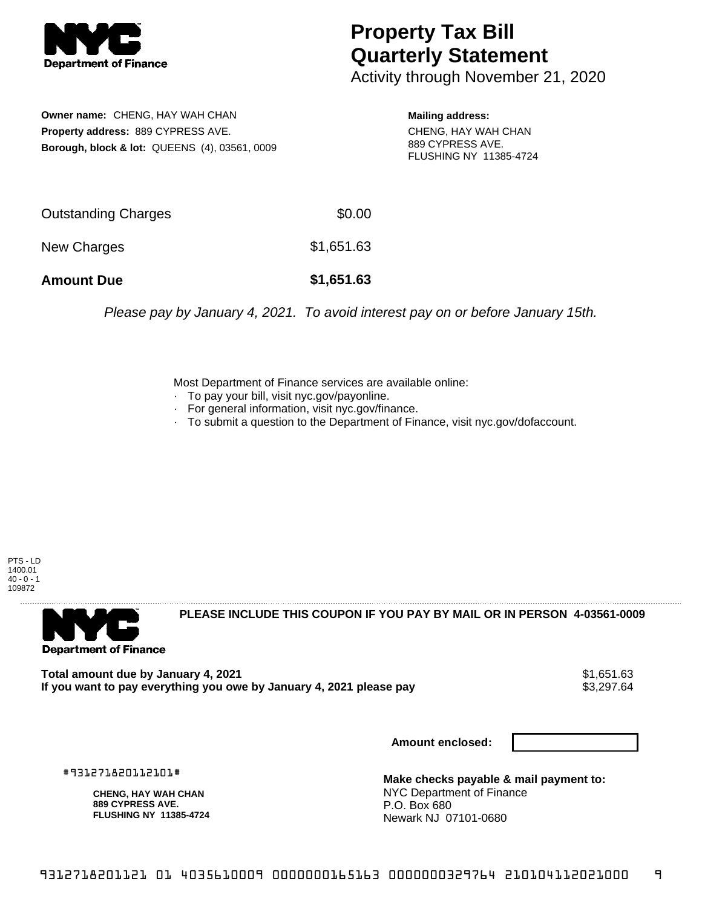

## **Property Tax Bill Quarterly Statement**

Activity through November 21, 2020

**Owner name:** CHENG, HAY WAH CHAN **Property address:** 889 CYPRESS AVE. **Borough, block & lot:** QUEENS (4), 03561, 0009

**Mailing address:** CHENG, HAY WAH CHAN 889 CYPRESS AVE. FLUSHING NY 11385-4724

| <b>Amount Due</b>   | \$1,651.63 |
|---------------------|------------|
| New Charges         | \$1,651.63 |
| Outstanding Charges | \$0.00     |

Please pay by January 4, 2021. To avoid interest pay on or before January 15th.

Most Department of Finance services are available online:

- · To pay your bill, visit nyc.gov/payonline.
- For general information, visit nyc.gov/finance.
- · To submit a question to the Department of Finance, visit nyc.gov/dofaccount.

PTS - LD 1400.01  $40 - 0 - 1$ 109872



**PLEASE INCLUDE THIS COUPON IF YOU PAY BY MAIL OR IN PERSON 4-03561-0009** 

**Total amount due by January 4, 2021**<br>If you want to pay everything you owe by January 4, 2021 please pay **show that the summan way of the s**3,297.64 If you want to pay everything you owe by January 4, 2021 please pay

**Amount enclosed:**

#931271820112101#

**CHENG, HAY WAH CHAN 889 CYPRESS AVE. FLUSHING NY 11385-4724**

**Make checks payable & mail payment to:** NYC Department of Finance P.O. Box 680 Newark NJ 07101-0680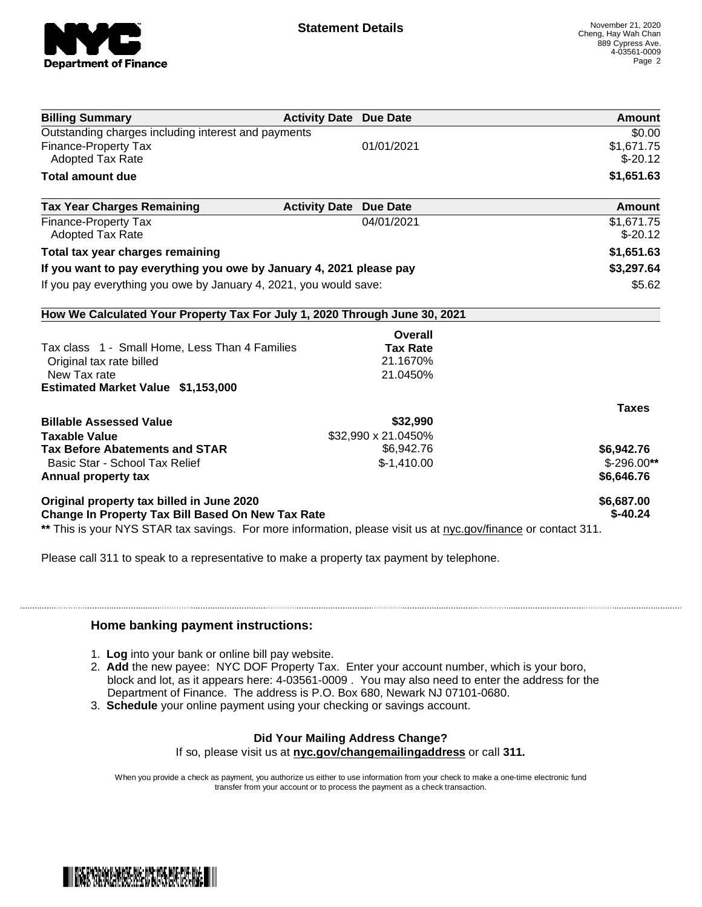

|                                                                                                                |                                         | Amount       |
|----------------------------------------------------------------------------------------------------------------|-----------------------------------------|--------------|
| <b>Billing Summary</b><br>Outstanding charges including interest and payments                                  | <b>Activity Date Due Date</b>           | \$0.00       |
| <b>Finance-Property Tax</b>                                                                                    | 01/01/2021                              | \$1,671.75   |
| <b>Adopted Tax Rate</b>                                                                                        |                                         | $$-20.12$    |
| <b>Total amount due</b>                                                                                        |                                         | \$1,651.63   |
|                                                                                                                |                                         |              |
| <b>Tax Year Charges Remaining</b>                                                                              | <b>Activity Date</b><br><b>Due Date</b> | Amount       |
| <b>Finance-Property Tax</b>                                                                                    | 04/01/2021                              | \$1,671.75   |
| <b>Adopted Tax Rate</b>                                                                                        |                                         | $$-20.12$    |
| Total tax year charges remaining                                                                               |                                         | \$1,651.63   |
| If you want to pay everything you owe by January 4, 2021 please pay                                            |                                         | \$3,297.64   |
| If you pay everything you owe by January 4, 2021, you would save:                                              |                                         | \$5.62       |
| How We Calculated Your Property Tax For July 1, 2020 Through June 30, 2021                                     |                                         |              |
|                                                                                                                | Overall                                 |              |
| Tax class 1 - Small Home, Less Than 4 Families                                                                 | <b>Tax Rate</b>                         |              |
| Original tax rate billed                                                                                       | 21.1670%                                |              |
| New Tax rate                                                                                                   | 21.0450%                                |              |
| <b>Estimated Market Value \$1,153,000</b>                                                                      |                                         |              |
|                                                                                                                |                                         | <b>Taxes</b> |
| <b>Billable Assessed Value</b>                                                                                 | \$32,990                                |              |
| <b>Taxable Value</b>                                                                                           | \$32,990 x 21.0450%                     |              |
| <b>Tax Before Abatements and STAR</b>                                                                          | \$6,942.76                              | \$6,942.76   |
| Basic Star - School Tax Relief                                                                                 | $$-1,410.00$                            | $$-296.00**$ |
| Annual property tax                                                                                            |                                         | \$6,646.76   |
| Original property tax billed in June 2020                                                                      |                                         | \$6,687.00   |
| <b>Change In Property Tax Bill Based On New Tax Rate</b>                                                       |                                         | $$-40.24$    |
| ** This is your NYS STAR tax savings. For more information, please visit us at nyc.gov/finance or contact 311. |                                         |              |

Please call 311 to speak to a representative to make a property tax payment by telephone.

## **Home banking payment instructions:**

- 1. **Log** into your bank or online bill pay website.
- 2. **Add** the new payee: NYC DOF Property Tax. Enter your account number, which is your boro, block and lot, as it appears here: 4-03561-0009 . You may also need to enter the address for the Department of Finance. The address is P.O. Box 680, Newark NJ 07101-0680.
- 3. **Schedule** your online payment using your checking or savings account.

## **Did Your Mailing Address Change?**

If so, please visit us at **nyc.gov/changemailingaddress** or call **311.**

When you provide a check as payment, you authorize us either to use information from your check to make a one-time electronic fund transfer from your account or to process the payment as a check transaction.